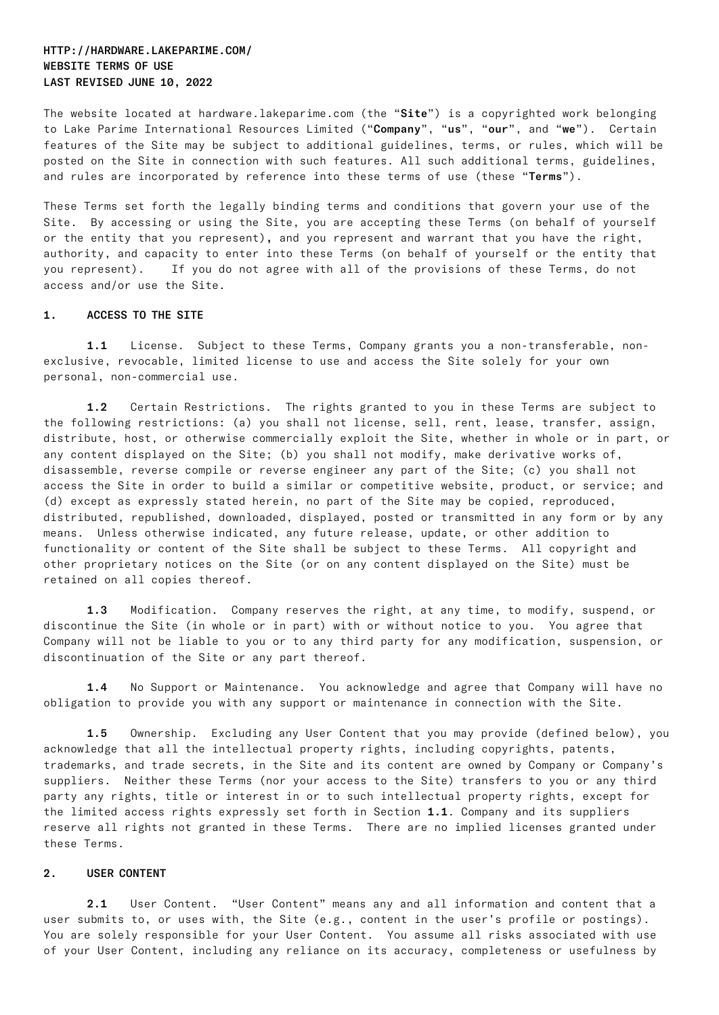# HTTP://HARDWARE.LAKEPARIME.COM/ WEBSITE TERMS OF USE LAST REVISED JUNE 10, 2022

The website located at hardware.lakeparime.com (the "Site") is a copyrighted work belonging to Lake Parime International Resources Limited ("Company", "us", "our", and "we"). Certain features of the Site may be subject to additional guidelines, terms, or rules, which will be posted on the Site in connection with such features. All such additional terms, guidelines, and rules are incorporated by reference into these terms of use (these "Terms").

These Terms set forth the legally binding terms and conditions that govern your use of the Site. By accessing or using the Site, you are accepting these Terms (on behalf of yourself or the entity that you represent), and you represent and warrant that you have the right, authority, and capacity to enter into these Terms (on behalf of yourself or the entity that you represent). If you do not agree with all of the provisions of these Terms, do not access and/or use the Site.

## 1. ACCESS TO THE SITE

1.1 License. Subject to these Terms, Company grants you a non-transferable, nonexclusive, revocable, limited license to use and access the Site solely for your own personal, non-commercial use.

1.2 Certain Restrictions. The rights granted to you in these Terms are subject to the following restrictions: (a) you shall not license, sell, rent, lease, transfer, assign, distribute, host, or otherwise commercially exploit the Site, whether in whole or in part, or any content displayed on the Site; (b) you shall not modify, make derivative works of, disassemble, reverse compile or reverse engineer any part of the Site; (c) you shall not access the Site in order to build a similar or competitive website, product, or service; and (d) except as expressly stated herein, no part of the Site may be copied, reproduced, distributed, republished, downloaded, displayed, posted or transmitted in any form or by any means. Unless otherwise indicated, any future release, update, or other addition to functionality or content of the Site shall be subject to these Terms. All copyright and other proprietary notices on the Site (or on any content displayed on the Site) must be retained on all copies thereof.

1.3 Modification. Company reserves the right, at any time, to modify, suspend, or discontinue the Site (in whole or in part) with or without notice to you. You agree that Company will not be liable to you or to any third party for any modification, suspension, or discontinuation of the Site or any part thereof.

1.4 No Support or Maintenance. You acknowledge and agree that Company will have no obligation to provide you with any support or maintenance in connection with the Site.

1.5 Ownership. Excluding any User Content that you may provide (defined below), you acknowledge that all the intellectual property rights, including copyrights, patents, trademarks, and trade secrets, in the Site and its content are owned by Company or Company's suppliers. Neither these Terms (nor your access to the Site) transfers to you or any third party any rights, title or interest in or to such intellectual property rights, except for the limited access rights expressly set forth in Section 1.1. Company and its suppliers reserve all rights not granted in these Terms. There are no implied licenses granted under these Terms.

### 2. USER CONTENT

2.1 User Content. "User Content" means any and all information and content that a user submits to, or uses with, the Site (e.g., content in the user's profile or postings). You are solely responsible for your User Content. You assume all risks associated with use of your User Content, including any reliance on its accuracy, completeness or usefulness by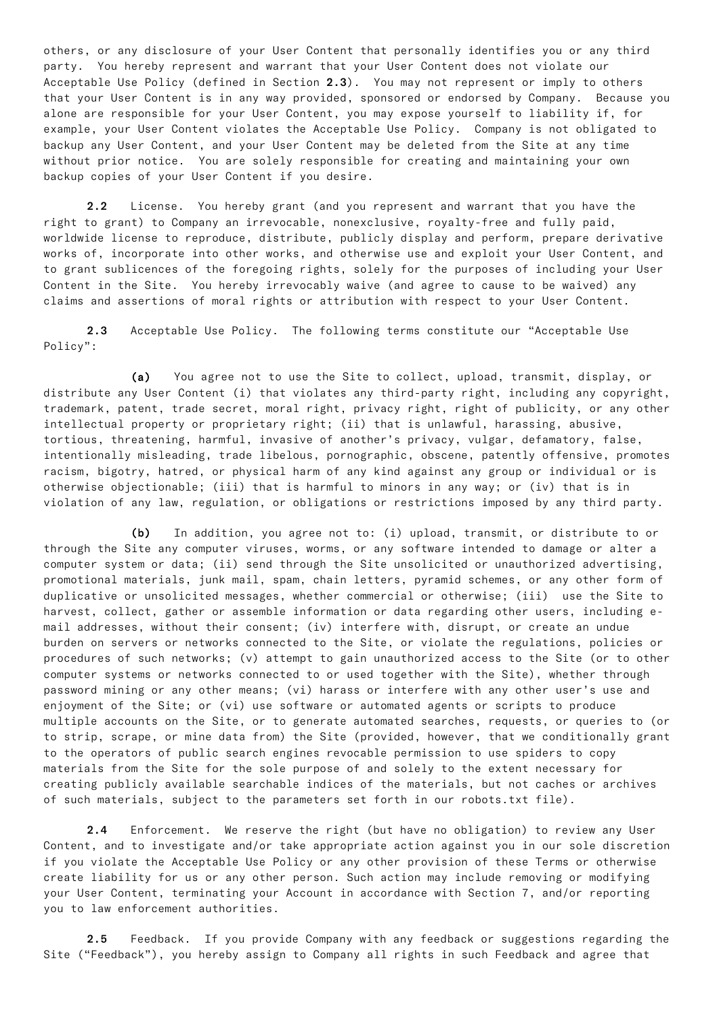others, or any disclosure of your User Content that personally identifies you or any third party. You hereby represent and warrant that your User Content does not violate our Acceptable Use Policy (defined in Section 2.3). You may not represent or imply to others that your User Content is in any way provided, sponsored or endorsed by Company. Because you alone are responsible for your User Content, you may expose yourself to liability if, for example, your User Content violates the Acceptable Use Policy. Company is not obligated to backup any User Content, and your User Content may be deleted from the Site at any time without prior notice. You are solely responsible for creating and maintaining your own backup copies of your User Content if you desire.

2.2 License. You hereby grant (and you represent and warrant that you have the right to grant) to Company an irrevocable, nonexclusive, royalty-free and fully paid, worldwide license to reproduce, distribute, publicly display and perform, prepare derivative works of, incorporate into other works, and otherwise use and exploit your User Content, and to grant sublicences of the foregoing rights, solely for the purposes of including your User Content in the Site. You hereby irrevocably waive (and agree to cause to be waived) any claims and assertions of moral rights or attribution with respect to your User Content.

2.3 Acceptable Use Policy. The following terms constitute our "Acceptable Use Policy":

(a) You agree not to use the Site to collect, upload, transmit, display, or distribute any User Content (i) that violates any third-party right, including any copyright, trademark, patent, trade secret, moral right, privacy right, right of publicity, or any other intellectual property or proprietary right; (ii) that is unlawful, harassing, abusive, tortious, threatening, harmful, invasive of another's privacy, vulgar, defamatory, false, intentionally misleading, trade libelous, pornographic, obscene, patently offensive, promotes racism, bigotry, hatred, or physical harm of any kind against any group or individual or is otherwise objectionable; (iii) that is harmful to minors in any way; or (iv) that is in violation of any law, regulation, or obligations or restrictions imposed by any third party.

(b) In addition, you agree not to: (i) upload, transmit, or distribute to or through the Site any computer viruses, worms, or any software intended to damage or alter a computer system or data; (ii) send through the Site unsolicited or unauthorized advertising, promotional materials, junk mail, spam, chain letters, pyramid schemes, or any other form of duplicative or unsolicited messages, whether commercial or otherwise; (iii) use the Site to harvest, collect, gather or assemble information or data regarding other users, including email addresses, without their consent; (iv) interfere with, disrupt, or create an undue burden on servers or networks connected to the Site, or violate the regulations, policies or procedures of such networks; (v) attempt to gain unauthorized access to the Site (or to other computer systems or networks connected to or used together with the Site), whether through password mining or any other means; (vi) harass or interfere with any other user's use and enjoyment of the Site; or (vi) use software or automated agents or scripts to produce multiple accounts on the Site, or to generate automated searches, requests, or queries to (or to strip, scrape, or mine data from) the Site (provided, however, that we conditionally grant to the operators of public search engines revocable permission to use spiders to copy materials from the Site for the sole purpose of and solely to the extent necessary for creating publicly available searchable indices of the materials, but not caches or archives of such materials, subject to the parameters set forth in our robots.txt file).

2.4 Enforcement. We reserve the right (but have no obligation) to review any User Content, and to investigate and/or take appropriate action against you in our sole discretion if you violate the Acceptable Use Policy or any other provision of these Terms or otherwise create liability for us or any other person. Such action may include removing or modifying your User Content, terminating your Account in accordance with Section 7, and/or reporting you to law enforcement authorities.

2.5 Feedback. If you provide Company with any feedback or suggestions regarding the Site ("Feedback"), you hereby assign to Company all rights in such Feedback and agree that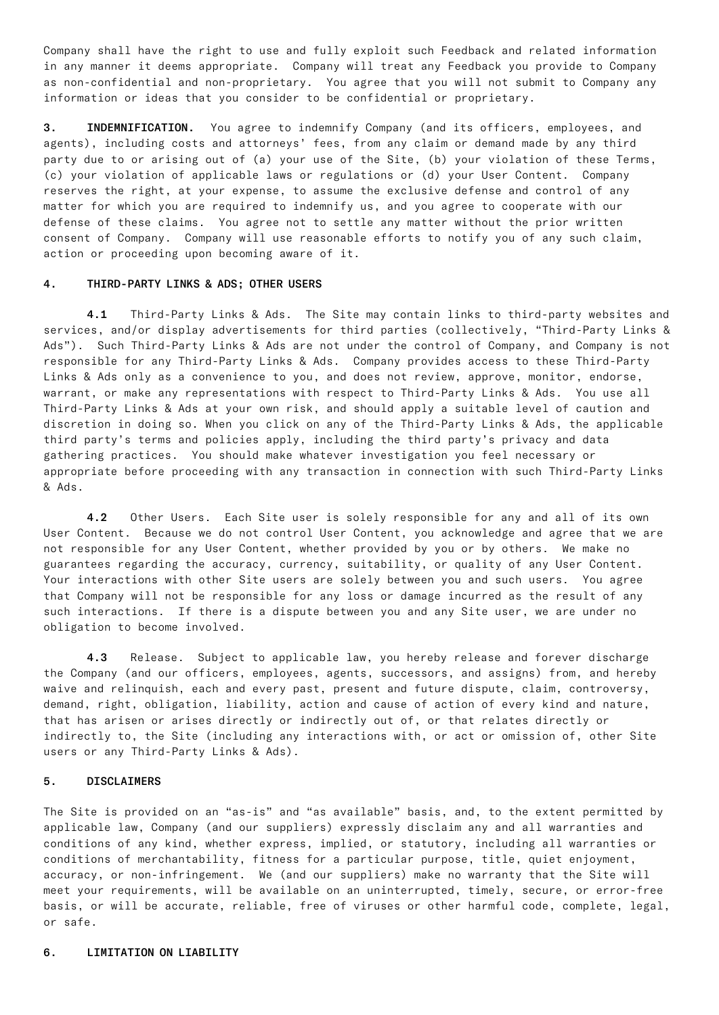Company shall have the right to use and fully exploit such Feedback and related information in any manner it deems appropriate. Company will treat any Feedback you provide to Company as non-confidential and non-proprietary. You agree that you will not submit to Company any information or ideas that you consider to be confidential or proprietary.

**3. INDEMNIFICATION.** You agree to indemnify Company (and its officers, employees, and agents), including costs and attorneys' fees, from any claim or demand made by any third party due to or arising out of (a) your use of the Site, (b) your violation of these Terms, (c) your violation of applicable laws or regulations or (d) your User Content. Company reserves the right, at your expense, to assume the exclusive defense and control of any matter for which you are required to indemnify us, and you agree to cooperate with our defense of these claims. You agree not to settle any matter without the prior written consent of Company. Company will use reasonable efforts to notify you of any such claim, action or proceeding upon becoming aware of it.

#### 4. THIRD-PARTY LINKS & ADS; OTHER USERS

4.1 Third-Party Links & Ads. The Site may contain links to third-party websites and services, and/or display advertisements for third parties (collectively, "Third-Party Links & Ads"). Such Third-Party Links & Ads are not under the control of Company, and Company is not responsible for any Third-Party Links & Ads. Company provides access to these Third-Party Links & Ads only as a convenience to you, and does not review, approve, monitor, endorse, warrant, or make any representations with respect to Third-Party Links & Ads. You use all Third-Party Links & Ads at your own risk, and should apply a suitable level of caution and discretion in doing so. When you click on any of the Third-Party Links & Ads, the applicable third party's terms and policies apply, including the third party's privacy and data gathering practices. You should make whatever investigation you feel necessary or appropriate before proceeding with any transaction in connection with such Third-Party Links & Ads.

4.2 Other Users. Each Site user is solely responsible for any and all of its own User Content. Because we do not control User Content, you acknowledge and agree that we are not responsible for any User Content, whether provided by you or by others. We make no guarantees regarding the accuracy, currency, suitability, or quality of any User Content. Your interactions with other Site users are solely between you and such users. You agree that Company will not be responsible for any loss or damage incurred as the result of any such interactions. If there is a dispute between you and any Site user, we are under no obligation to become involved.

4.3 Release. Subject to applicable law, you hereby release and forever discharge the Company (and our officers, employees, agents, successors, and assigns) from, and hereby waive and relinquish, each and every past, present and future dispute, claim, controversy, demand, right, obligation, liability, action and cause of action of every kind and nature, that has arisen or arises directly or indirectly out of, or that relates directly or indirectly to, the Site (including any interactions with, or act or omission of, other Site users or any Third-Party Links & Ads).

#### 5. DISCLAIMERS

The Site is provided on an "as-is" and "as available" basis, and, to the extent permitted by applicable law, Company (and our suppliers) expressly disclaim any and all warranties and conditions of any kind, whether express, implied, or statutory, including all warranties or conditions of merchantability, fitness for a particular purpose, title, quiet enjoyment, accuracy, or non-infringement. We (and our suppliers) make no warranty that the Site will meet your requirements, will be available on an uninterrupted, timely, secure, or error-free basis, or will be accurate, reliable, free of viruses or other harmful code, complete, legal, or safe.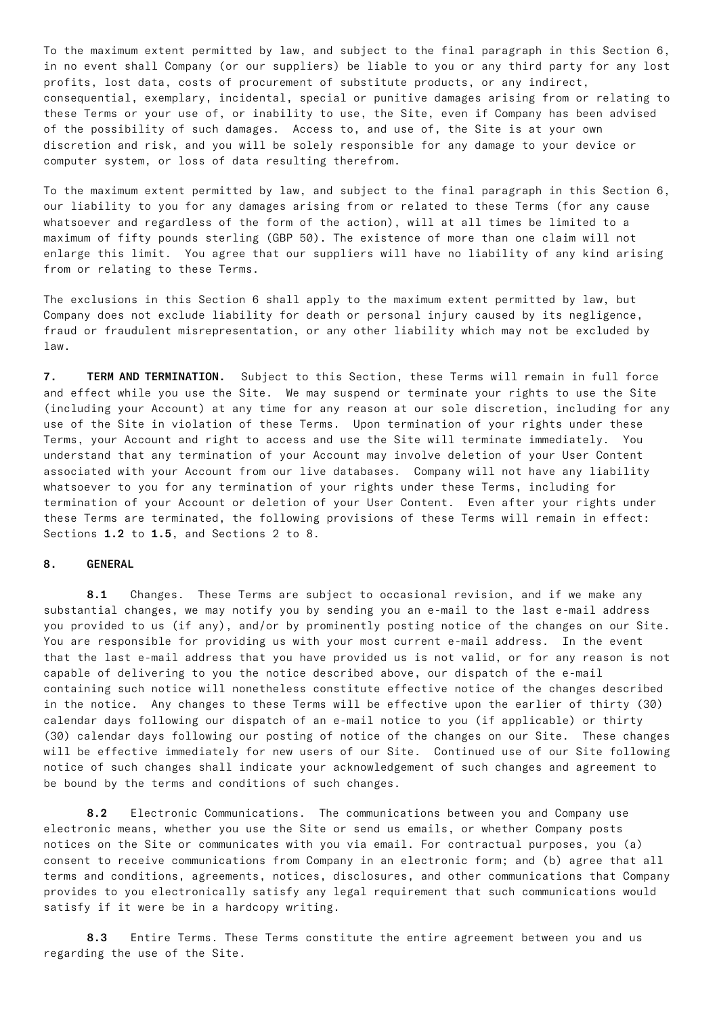To the maximum extent permitted by law, and subject to the final paragraph in this Section 6, in no event shall Company (or our suppliers) be liable to you or any third party for any lost profits, lost data, costs of procurement of substitute products, or any indirect, consequential, exemplary, incidental, special or punitive damages arising from or relating to these Terms or your use of, or inability to use, the Site, even if Company has been advised of the possibility of such damages. Access to, and use of, the Site is at your own discretion and risk, and you will be solely responsible for any damage to your device or computer system, or loss of data resulting therefrom.

To the maximum extent permitted by law, and subject to the final paragraph in this Section 6, our liability to you for any damages arising from or related to these Terms (for any cause whatsoever and regardless of the form of the action), will at all times be limited to a maximum of fifty pounds sterling (GBP 50). The existence of more than one claim will not enlarge this limit. You agree that our suppliers will have no liability of any kind arising from or relating to these Terms.

The exclusions in this Section 6 shall apply to the maximum extent permitted by law, but Company does not exclude liability for death or personal injury caused by its negligence, fraud or fraudulent misrepresentation, or any other liability which may not be excluded by law.

7. TERM AND TERMINATION. Subject to this Section, these Terms will remain in full force and effect while you use the Site. We may suspend or terminate your rights to use the Site (including your Account) at any time for any reason at our sole discretion, including for any use of the Site in violation of these Terms. Upon termination of your rights under these Terms, your Account and right to access and use the Site will terminate immediately. You understand that any termination of your Account may involve deletion of your User Content associated with your Account from our live databases. Company will not have any liability whatsoever to you for any termination of your rights under these Terms, including for termination of your Account or deletion of your User Content. Even after your rights under these Terms are terminated, the following provisions of these Terms will remain in effect: Sections 1.2 to 1.5, and Sections 2 to 8.

#### 8. GENERAL

8.1 Changes. These Terms are subject to occasional revision, and if we make any substantial changes, we may notify you by sending you an e-mail to the last e-mail address you provided to us (if any), and/or by prominently posting notice of the changes on our Site. You are responsible for providing us with your most current e-mail address. In the event that the last e-mail address that you have provided us is not valid, or for any reason is not capable of delivering to you the notice described above, our dispatch of the e-mail containing such notice will nonetheless constitute effective notice of the changes described in the notice. Any changes to these Terms will be effective upon the earlier of thirty (30) calendar days following our dispatch of an e-mail notice to you (if applicable) or thirty (30) calendar days following our posting of notice of the changes on our Site. These changes will be effective immediately for new users of our Site. Continued use of our Site following notice of such changes shall indicate your acknowledgement of such changes and agreement to be bound by the terms and conditions of such changes.

8.2 Electronic Communications. The communications between you and Company use electronic means, whether you use the Site or send us emails, or whether Company posts notices on the Site or communicates with you via email. For contractual purposes, you (a) consent to receive communications from Company in an electronic form; and (b) agree that all terms and conditions, agreements, notices, disclosures, and other communications that Company provides to you electronically satisfy any legal requirement that such communications would satisfy if it were be in a hardcopy writing.

8.3 Entire Terms. These Terms constitute the entire agreement between you and us regarding the use of the Site.